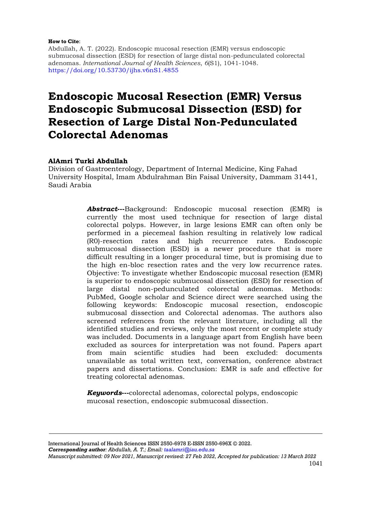#### **How to Cite**:

Abdullah, A. T. (2022). Endoscopic mucosal resection (EMR) versus endoscopic submucosal dissection (ESD) for resection of large distal non-pedunculated colorectal adenomas. *International Journal of Health Sciences*, *6*(S1), 1041-1048. <https://doi.org/10.53730/ijhs.v6nS1.4855>

# **Endoscopic Mucosal Resection (EMR) Versus Endoscopic Submucosal Dissection (ESD) for Resection of Large Distal Non-Pedunculated Colorectal Adenomas**

### **AlAmri Turki Abdullah**

Division of Gastroenterology, Department of Internal Medicine, King Fahad University Hospital, Imam Abdulrahman Bin Faisal University, Dammam 31441, Saudi Arabia

> *Abstract***---**Background: Endoscopic mucosal resection (EMR) is currently the most used technique for resection of large distal colorectal polyps. However, in large lesions EMR can often only be performed in a piecemeal fashion resulting in relatively low radical (R0)-resection rates and high recurrence rates. Endoscopic submucosal dissection (ESD) is a newer procedure that is more difficult resulting in a longer procedural time, but is promising due to the high en-bloc resection rates and the very low recurrence rates. Objective: To investigate whether Endoscopic mucosal resection (EMR) is superior to endoscopic submucosal dissection (ESD) for resection of large distal non-pedunculated colorectal adenomas. Methods: PubMed, Google scholar and Science direct were searched using the following keywords: Endoscopic mucosal resection, endoscopic submucosal dissection and Colorectal adenomas. The authors also screened references from the relevant literature, including all the identified studies and reviews, only the most recent or complete study was included. Documents in a language apart from English have been excluded as sources for interpretation was not found. Papers apart from main scientific studies had been excluded: documents unavailable as total written text, conversation, conference abstract papers and dissertations. Conclusion: EMR is safe and effective for treating colorectal adenomas.

*Keywords***---**colorectal adenomas, colorectal polyps, endoscopic mucosal resection, endoscopic submucosal dissection.

International Journal of Health Sciences ISSN 2550-6978 E-ISSN 2550-696X © 2022. *Corresponding author: Abdullah, A. T.; Email: [taalamri@iau.edu.sa](mailto:taalamri@iau.edu.sa)*

*Manuscript submitted: 09 Nov 2021, Manuscript revised: 27 Feb 2022, Accepted for publication: 13 March 2022*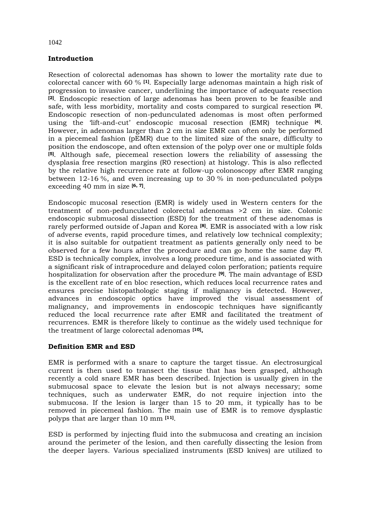## **Introduction**

Resection of colorectal adenomas has shown to lower the mortality rate due to colorectal cancer with 60 % **[\[1\]](https://bmcgastroenterol.biomedcentral.com/articles/10.1186/s12876-016-0468-6#ref-CR1)** . Especially large adenomas maintain a high risk of progression to invasive cancer, underlining the importance of adequate resection **[\[2\]](https://bmcgastroenterol.biomedcentral.com/articles/10.1186/s12876-016-0468-6#ref-CR2)** . Endoscopic resection of large adenomas has been proven to be feasible and safe, with less morbidity, mortality and costs compared to surgical resection **[\[3\]](https://bmcgastroenterol.biomedcentral.com/articles/10.1186/s12876-016-0468-6#ref-CR3)** . Endoscopic resection of non-pedunculated adenomas is most often performed using the 'lift-and-cut' endoscopic mucosal resection (EMR) technique **[\[4\]](https://bmcgastroenterol.biomedcentral.com/articles/10.1186/s12876-016-0468-6#ref-CR4)** . However, in adenomas larger than 2 cm in size EMR can often only be performed in a piecemeal fashion (pEMR) due to the limited size of the snare, difficulty to position the endoscope, and often extension of the polyp over one or multiple folds **[\[5\]](https://bmcgastroenterol.biomedcentral.com/articles/10.1186/s12876-016-0468-6#ref-CR5)** . Although safe, piecemeal resection lowers the reliability of assessing the dysplasia free resection margins (R0 resection) at histology. This is also reflected by the relative high recurrence rate at follow-up colonoscopy after EMR ranging between 12-16 %, and even increasing up to 30 % in non-pedunculated polyps exceeding 40 mm in size **[\[6,](https://bmcgastroenterol.biomedcentral.com/articles/10.1186/s12876-016-0468-6#ref-CR7) [7\]](https://bmcgastroenterol.biomedcentral.com/articles/10.1186/s12876-016-0468-6#ref-CR8)** .

Endoscopic mucosal resection (EMR) is widely used in Western centers for the treatment of non-pedunculated colorectal adenomas >2 cm in size. Colonic endoscopic submucosal dissection (ESD) for the treatment of these adenomas is rarely performed outside of Japan and Korea **[\[8\]](https://www.e-ce.org/journal/view.php?number=6906#b1-ce-2016-077)** . EMR is associated with a low risk of adverse events, rapid procedure times, and relatively low technical complexity; it is also suitable for outpatient treatment as patients generally only need to be observed for a few hours after the procedure and can go home the same day **[\[7\]](https://www.e-ce.org/journal/view.php?number=6906#b2-ce-2016-077)** . ESD is technically complex, involves a long procedure time, and is associated with a significant risk of intraprocedure and delayed colon perforation; patients require hospitalization for observation after the procedure **[\[9\]](https://www.e-ce.org/journal/view.php?number=6906#b3-ce-2016-077)** . The main advantage of ESD is the excellent rate of en bloc resection, which reduces local recurrence rates and ensures precise histopathologic staging if malignancy is detected. However, advances in endoscopic optics have improved the visual assessment of malignancy, and improvements in endoscopic techniques have significantly reduced the local recurrence rate after EMR and facilitated the treatment of recurrences. EMR is therefore likely to continue as the widely used technique for the treatment of large colorectal adenomas **[10].**

## **Definition EMR and ESD**

EMR is performed with a snare to capture the target tissue. An electrosurgical current is then used to transect the tissue that has been grasped, although recently a cold snare EMR has been described. Injection is usually given in the submucosal space to elevate the lesion but is not always necessary; some techniques, such as underwater EMR, do not require injection into the submucosa. If the lesion is larger than 15 to 20 mm, it typically has to be removed in piecemeal fashion. The main use of EMR is to remove dysplastic polyps that are larger than 10 mm **[11]** .

ESD is performed by injecting fluid into the submucosa and creating an incision around the perimeter of the lesion, and then carefully dissecting the lesion from the deeper layers. Various specialized instruments (ESD knives) are utilized to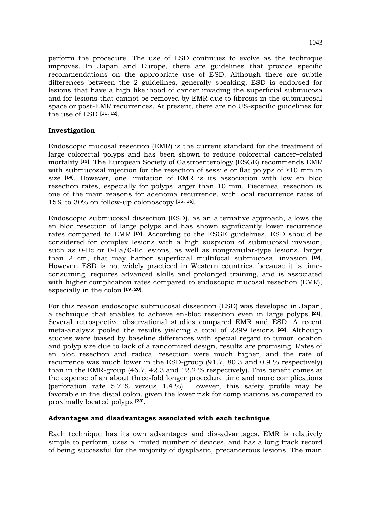perform the procedure. The use of ESD continues to evolve as the technique improves. In Japan and Europe, there are guidelines that provide specific recommendations on the appropriate use of ESD. Although there are subtle differences between the 2 guidelines, generally speaking, ESD is endorsed for lesions that have a high likelihood of cancer invading the superficial submucosa and for lesions that cannot be removed by EMR due to fibrosis in the submucosal space or post-EMR recurrences. At present, there are no US-specific guidelines for the use of ESD **[11, 12]** .

## **Investigation**

Endoscopic mucosal resection (EMR) is the current standard for the treatment of large colorectal polyps and has been shown to reduce colorectal cancer–related mortality **[13]**. The European Society of Gastroenterology (ESGE) recommends EMR with submucosal injection for the resection of sessile or flat polyps of  $\geq 10$  mm in size **[14]**. However, one limitation of EMR is its association with low en bloc resection rates, especially for polyps larger than 10 mm. Piecemeal resection is one of the main reasons for adenoma recurrence, with local recurrence rates of 15% to 30% on follow-up colonoscopy **[15, 16]** .

Endoscopic submucosal dissection (ESD), as an alternative approach, allows the en bloc resection of large polyps and has shown significantly lower recurrence rates compared to EMR **[17]**. According to the ESGE guidelines, ESD should be considered for complex lesions with a high suspicion of submucosal invasion, such as 0-IIc or 0-IIa/0-IIc lesions, as well as nongranular-type lesions, larger than 2 cm, that may harbor superficial multifocal submucosal invasion **[18]** . However, ESD is not widely practiced in Western countries, because it is timeconsuming, requires advanced skills and prolonged training, and is associated with higher complication rates compared to endoscopic mucosal resection (EMR), especially in the colon **[19, 20]** .

For this reason endoscopic submucosal dissection (ESD) was developed in Japan, a technique that enables to achieve en-bloc resection even in large polyps **[21]** . Several retrospective observational studies compared EMR and ESD. A recent meta-analysis pooled the results yielding a total of 2299 lesions **[\[22\]](https://bmcgastroenterol.biomedcentral.com/articles/10.1186/s12876-016-0468-6#ref-CR10)** . Although studies were biased by baseline differences with special regard to tumor location and polyp size due to lack of a randomized design, results are promising. Rates of en bloc resection and radical resection were much higher, and the rate of recurrence was much lower in the ESD-group (91.7, 80.3 and 0.9 % respectively) than in the EMR-group (46.7, 42.3 and 12.2 % respectively). This benefit comes at the expense of an about three-fold longer procedure time and more complications (perforation rate 5.7 % versus 1.4 %). However, this safety profile may be favorable in the distal colon, given the lower risk for complications as compared to proximally located polyps **[\[23\]](https://bmcgastroenterol.biomedcentral.com/articles/10.1186/s12876-016-0468-6#ref-CR11)** .

## **Advantages and disadvantages associated with each technique**

Each technique has its own advantages and dis-advantages. EMR is relatively simple to perform, uses a limited number of devices, and has a long track record of being successful for the majority of dysplastic, precancerous lesions. The main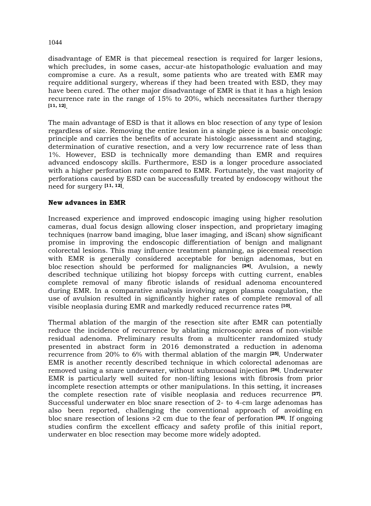disadvantage of EMR is that piecemeal resection is required for larger lesions, which precludes, in some cases, accur-ate histopathologic evaluation and may compromise a cure. As a result, some patients who are treated with EMR may require additional surgery, whereas if they had been treated with ESD, they may have been cured. The other major disadvantage of EMR is that it has a high lesion recurrence rate in the range of 15% to 20%, which necessitates further therapy **[11, 12]** .

The main advantage of ESD is that it allows en bloc resection of any type of lesion regardless of size. Removing the entire lesion in a single piece is a basic oncologic principle and carries the benefits of accurate histologic assessment and staging, determination of curative resection, and a very low recurrence rate of less than 1%. However, ESD is technically more demanding than EMR and requires advanced endoscopy skills. Furthermore, ESD is a longer procedure associated with a higher perforation rate compared to EMR. Fortunately, the vast majority of perforations caused by ESD can be successfully treated by endoscopy without the need for surgery **[11, 12]** .

### **New advances in EMR**

Increased experience and improved endoscopic imaging using higher resolution cameras, dual focus design allowing closer inspection, and proprietary imaging techniques (narrow band imaging, blue laser imaging, and iScan) show significant promise in improving the endoscopic differentiation of benign and malignant colorectal lesions. This may influence treatment planning, as piecemeal resection with EMR is generally considered acceptable for benign adenomas, but en bloc resection should be performed for malignancies **[24]** . Avulsion, a newly described technique utilizing hot biopsy forceps with cutting current, enables complete removal of many fibrotic islands of residual adenoma encountered during EMR. In a comparative analysis involving argon plasma coagulation, the use of avulsion resulted in significantly higher rates of complete removal of all visible neoplasia during EMR and markedly reduced recurrence rates **[\[10\]](https://www.e-ce.org/journal/view.php?number=6906#b8-ce-2016-077)** .

Thermal ablation of the margin of the resection site after EMR can potentially reduce the incidence of recurrence by ablating microscopic areas of non-visible residual adenoma. Preliminary results from a multicenter randomized study presented in abstract form in 2016 demonstrated a reduction in adenoma recurrence from 20% to 6% with thermal ablation of the margin **[\[25\]](https://www.e-ce.org/journal/view.php?number=6906#b9-ce-2016-077)** . Underwater EMR is another recently described technique in which colorectal adenomas are removed using a snare underwater, without submucosal injection **[\[26\]](https://www.e-ce.org/journal/view.php?number=6906#b10-ce-2016-077)** . Underwater EMR is particularly well suited for non-lifting lesions with fibrosis from prior incomplete resection attempts or other manipulations. In this setting, it increases the complete resection rate of visible neoplasia and reduces recurrence **[\[27\]](https://www.e-ce.org/journal/view.php?number=6906#b11-ce-2016-077)** . Successful underwater en bloc snare resection of 2- to 4-cm large adenomas has also been reported, challenging the conventional approach of avoiding en bloc snare resection of lesions >2 cm due to the fear of perforation **[\[28\]](https://www.e-ce.org/journal/view.php?number=6906#b12-ce-2016-077)** . If ongoing studies confirm the excellent efficacy and safety profile of this initial report, underwater en bloc resection may become more widely adopted.

1044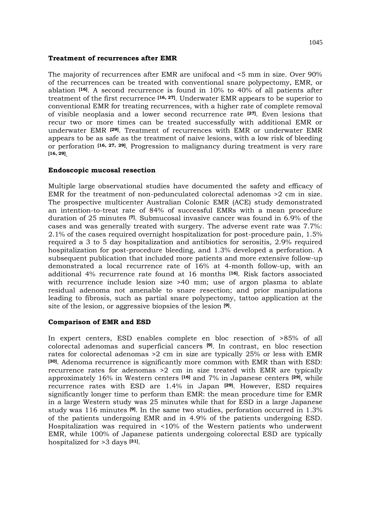#### **Treatment of recurrences after EMR**

The majority of recurrences after EMR are unifocal and <5 mm in size. Over 90% of the recurrences can be treated with conventional snare polypectomy, EMR, or ablation **[\[16\]](https://www.e-ce.org/journal/view.php?number=6906#b4-ce-2016-077)** . A second recurrence is found in 10% to 40% of all patients after treatment of the first recurrence **[\[16,](https://www.e-ce.org/journal/view.php?number=6906#b4-ce-2016-077) 27]**. Underwater EMR appears to be superior to conventional EMR for treating recurrences, with a higher rate of complete removal of visible neoplasia and a lower second recurrence rate **[\[27\]](https://www.e-ce.org/journal/view.php?number=6906#b11-ce-2016-077)** . Even lesions that recur two or more times can be treated successfully with additional EMR or underwater EMR **[\[29\]](https://www.e-ce.org/journal/view.php?number=6906#b13-ce-2016-077)** . Treatment of recurrences with EMR or underwater EMR appears to be as safe as the treatment of naive lesions, with a low risk of bleeding or perforation **[\[16,](https://www.e-ce.org/journal/view.php?number=6906#b4-ce-2016-077) 27, [29\]](https://www.e-ce.org/journal/view.php?number=6906#b13-ce-2016-077)** . Progression to malignancy during treatment is very rare **[16, 29]** .

### **Endoscopic mucosal resection**

Multiple large observational studies have documented the safety and efficacy of EMR for the treatment of non-pedunculated colorectal adenomas >2 cm in size. The prospective multicenter Australian Colonic EMR (ACE) study demonstrated an intention-to-treat rate of 84% of successful EMRs with a mean procedure duration of 25 minutes **[\[7\]](https://www.e-ce.org/journal/view.php?number=6906#b2-ce-2016-077)** . Submucosal invasive cancer was found in 6.9% of the cases and was generally treated with surgery. The adverse event rate was 7.7%: 2.1% of the cases required overnight hospitalization for post-procedure pain, 1.5% required a 3 to 5 day hospitalization and antibiotics for serositis, 2.9% required hospitalization for post-procedure bleeding, and 1.3% developed a perforation. A subsequent publication that included more patients and more extensive follow-up demonstrated a local recurrence rate of 16% at 4-month follow-up, with an additional 4% recurrence rate found at 16 months **[\[16\]](https://www.e-ce.org/journal/view.php?number=6906#b4-ce-2016-077)** . Risk factors associated with recurrence include lesion size >40 mm; use of argon plasma to ablate residual adenoma not amenable to snare resection; and prior manipulations leading to fibrosis, such as partial snare polypectomy, tattoo application at the site of the lesion, or aggressive biopsies of the lesion **[9]** .

## **Comparison of EMR and ESD**

In expert centers, ESD enables complete en bloc resection of >85% of all colorectal adenomas and superficial cancers **[9]**. In contrast, en bloc resection rates for colorectal adenomas >2 cm in size are typically 25% or less with EMR **[30]**. Adenoma recurrence is significantly more common with EMR than with ESD: recurrence rates for adenomas >2 cm in size treated with EMR are typically approximately 16% in Western centers **[16]** and 7% in Japanese centers **[29]**, while recurrence rates with ESD are 1.4% in Japan **[29]**. However, ESD requires significantly longer time to perform than EMR: the mean procedure time for EMR in a large Western study was 25 minutes while that for ESD in a large Japanese study was 116 minutes **[9]**. In the same two studies, perforation occurred in 1.3% of the patients undergoing EMR and in 4.9% of the patients undergoing ESD. Hospitalization was required in <10% of the Western patients who underwent EMR, while 100% of Japanese patients undergoing colorectal ESD are typically hospitalized for >3 days **[31]** .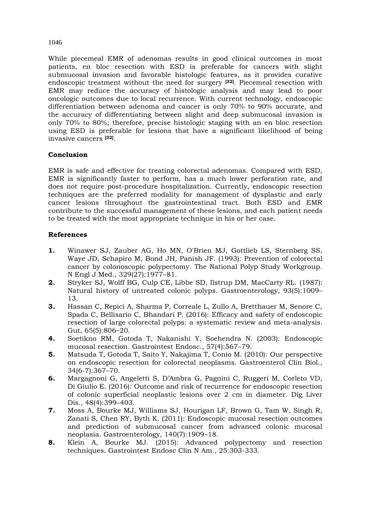## While piecemeal EMR of adenomas results in good clinical outcomes in most patients, en bloc resection with ESD is preferable for cancers with slight submucosal invasion and favorable histologic features, as it provides curative endoscopic treatment without the need for surgery **[32]**. Piecemeal resection with EMR may reduce the accuracy of histologic analysis and may lead to poor oncologic outcomes due to local recurrence. With current technology, endoscopic differentiation between adenoma and cancer is only 70% to 90% accurate, and the accuracy of differentiating between slight and deep submucosal invasion is only 70% to 80%; therefore, precise histologic staging with an en bloc resection using ESD is preferable for lesions that have a significant likelihood of being invasive cancers **[32]** .

## **Conclusion**

EMR is safe and effective for treating colorectal adenomas. Compared with ESD, EMR is significantly faster to perform, has a much lower perforation rate, and does not require post-procedure hospitalization. Currently, endoscopic resection techniques are the preferred modality for management of dysplastic and early cancer lesions throughout the gastrointestinal tract. Both ESD and EMR contribute to the successful management of these lesions, and each patient needs to be treated with the most appropriate technique in his or her case.

## **References**

- **1.** Winawer SJ, Zauber AG, Ho MN, O'Brien MJ, Gottlieb LS, Sternberg SS, Waye JD, Schapiro M, Bond JH, Panish JF. (1993): Prevention of colorectal cancer by colonoscopic polypectomy. The National Polyp Study Workgroup. N Engl J Med., 329(27):1977–81.
- **2.** Stryker SJ, Wolff BG, Culp CE, Libbe SD, Ilstrup DM, MacCarty RL. (1987): Natural history of untreated colonic polyps. Gastroenterology, 93(5):1009– 13.
- **3.** Hassan C, Repici A, Sharma P, Correale L, Zullo A, Bretthauer M, Senore C, Spada C, Bellisario C, Bhandari P. (2016): Efficacy and safety of endoscopic resection of large colorectal polyps: a systematic review and meta-analysis. Gut, 65(5):806–20.
- **4.** Soetikno RM, Gotoda T, Nakanishi Y, Soehendra N. (2003): Endoscopic mucosal resection. Gastrointest Endosc., 57(4):567–79.
- **5.** Matsuda T, Gotoda T, Saito Y, Nakajima T, Conio M. (2010): Our perspective on endoscopic resection for colorectal neoplasms. Gastroenterol Clin Biol., 34(6-7):367–70.
- **6.** Margagnoni G, Angeletti S, D'Ambra G, Pagnini C, Ruggeri M, Corleto VD, Di Giulio E. (2016): Outcome and risk of recurrence for endoscopic resection of colonic superficial neoplastic lesions over 2 cm in diameter. Dig Liver Dis., 48(4):399–403.
- **7.** Moss A, Bourke MJ, Williams SJ, Hourigan LF, Brown G, Tam W, Singh R, Zanati S, Chen RY, Byth K. (2011): Endoscopic mucosal resection outcomes and prediction of submucosal cancer from advanced colonic mucosal neoplasia. Gastroenterology, 140(7):1909–18.
- **8.** Klein A, Bourke MJ. (2015): Advanced polypectomy and resection techniques. Gastrointest Endosc Clin N Am., 25:303-333.

1046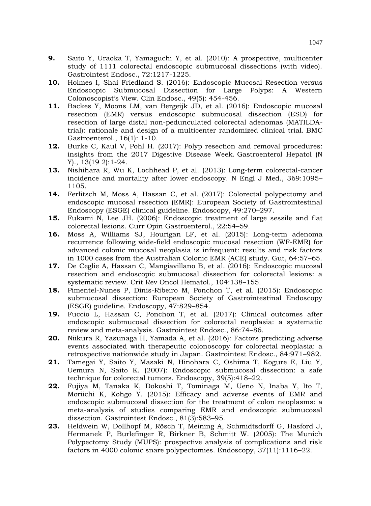- **9.** Saito Y, Uraoka T, Yamaguchi Y, et al. (2010): A prospective, multicenter study of 1111 colorectal endoscopic submucosal dissections (with video). Gastrointest Endosc., 72:1217-1225.
- **10.** Holmes I, Shai Friedland S. (2016): Endoscopic Mucosal Resection versus Endoscopic Submucosal Dissection for Large Polyps: A Western Colonoscopist's View. Clin Endosc., 49(5): 454-456.
- **11.** Backes Y, Moons LM, van Bergeijk JD, et al. (2016): Endoscopic mucosal resection (EMR) versus endoscopic submucosal dissection (ESD) for resection of large distal non-pedunculated colorectal adenomas (MATILDAtrial): rationale and design of a multicenter randomized clinical trial. BMC Gastroenterol., 16(1): 1-10.
- **12.** Burke C, Kaul V, Pohl H. (2017): Polyp resection and removal procedures: insights from the 2017 Digestive Disease Week. Gastroenterol Hepatol (N Y)., 13(19 2):1-24.
- **13.** Nishihara R, Wu K, Lochhead P, et al. (2013): Long-term colorectal-cancer incidence and mortality after lower endoscopy. N Engl J Med., 369:1095– 1105.
- **14.** Ferlitsch M, Moss A, Hassan C, et al. (2017): Colorectal polypectomy and endoscopic mucosal resection (EMR): European Society of Gastrointestinal Endoscopy (ESGE) clinical guideline. Endoscopy, 49:270–297.
- **15.** Fukami N, Lee JH. (2006): Endoscopic treatment of large sessile and flat colorectal lesions. Curr Opin Gastroenterol., 22:54–59.
- **16.** Moss A, Williams SJ, Hourigan LF, et al. (2015): Long-term adenoma recurrence following wide-field endoscopic mucosal resection (WF-EMR) for advanced colonic mucosal neoplasia is infrequent: results and risk factors in 1000 cases from the Australian Colonic EMR (ACE) study. Gut, 64:57–65.
- **17.** De Ceglie A, Hassan C, Mangiavillano B, et al. (2016): Endoscopic mucosal resection and endoscopic submucosal dissection for colorectal lesions: a systematic review. Crit Rev Oncol Hematol., 104:138–155.
- **18.** Pimentel-Nunes P, Dinis-Ribeiro M, Ponchon T, et al. (2015): Endoscopic submucosal dissection: European Society of Gastrointestinal Endoscopy (ESGE) guideline. Endoscopy, 47:829–854.
- **19.** Fuccio L, Hassan C, Ponchon T, et al. (2017): Clinical outcomes after endoscopic submucosal dissection for colorectal neoplasia: a systematic review and meta-analysis. Gastrointest Endosc., 86:74–86.
- **20.** Niikura R, Yasunaga H, Yamada A, et al. (2016): Factors predicting adverse events associated with therapeutic colonoscopy for colorectal neoplasia: a retrospective nationwide study in Japan. Gastrointest Endosc., 84:971–982.
- **21.** Tamegai Y, Saito Y, Masaki N, Hinohara C, Oshima T, Kogure E, Liu Y, Uemura N, Saito K. (2007): Endoscopic submucosal dissection: a safe technique for colorectal tumors. Endoscopy, 39(5):418–22.
- **22.** Fujiya M, Tanaka K, Dokoshi T, Tominaga M, Ueno N, Inaba Y, Ito T, Moriichi K, Kohgo Y. (2015): Efficacy and adverse events of EMR and endoscopic submucosal dissection for the treatment of colon neoplasms: a meta-analysis of studies comparing EMR and endoscopic submucosal dissection. Gastrointest Endosc., 81(3):583–95.
- **23.** Heldwein W, Dollhopf M, Rösch T, Meining A, Schmidtsdorff G, Hasford J, Hermanek P, Burlefinger R, Birkner B, Schmitt W. (2005): The Munich Polypectomy Study (MUPS): prospective analysis of complications and risk factors in 4000 colonic snare polypectomies. Endoscopy, 37(11):1116–22.